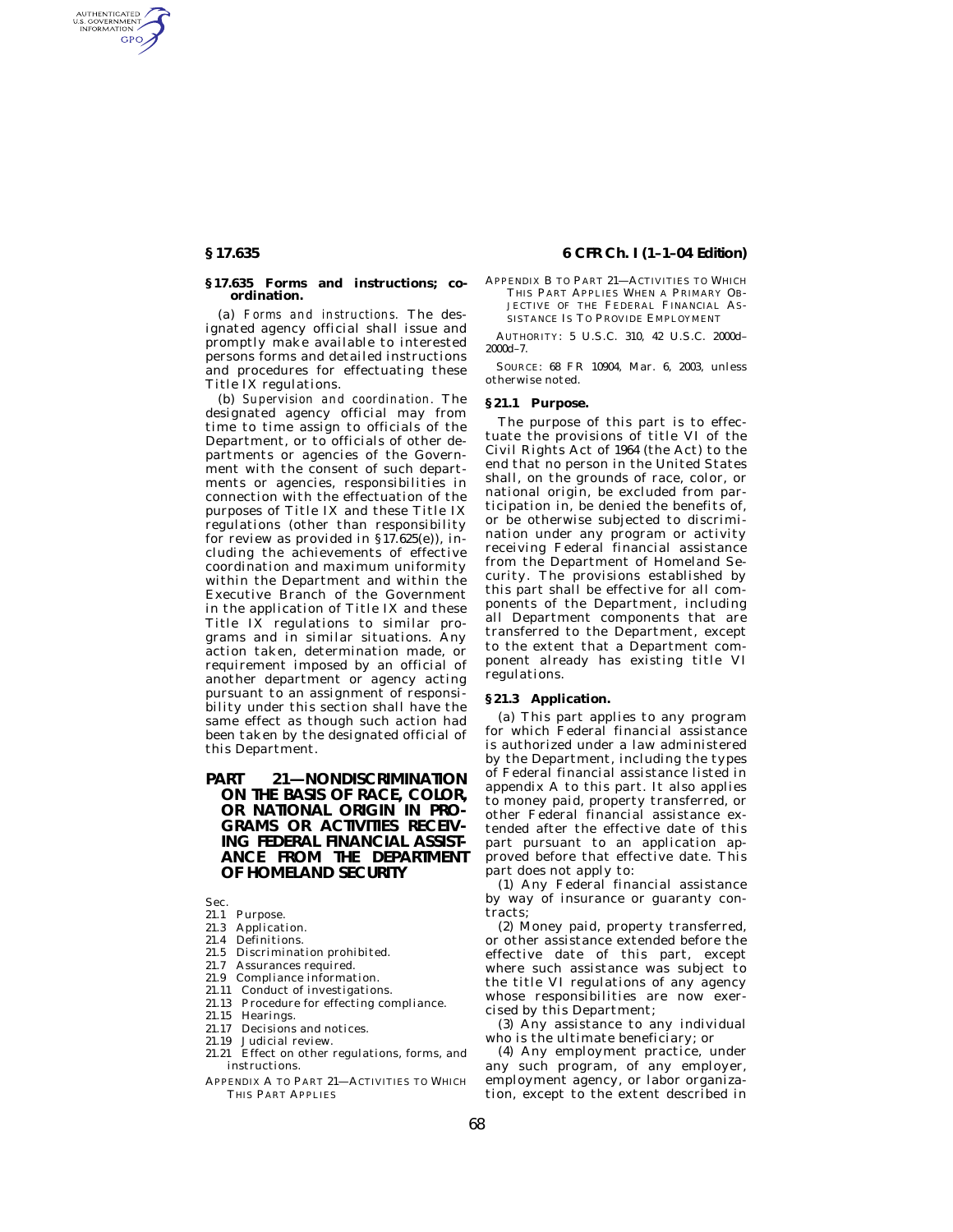AUTHENTICATED<br>U.S. GOVERNMENT<br>INFORMATION **GPO** 

#### **§ 17.635 Forms and instructions; coordination.**

(a) *Forms and instructions.* The designated agency official shall issue and promptly make available to interested persons forms and detailed instructions and procedures for effectuating these Title IX regulations.

(b) *Supervision and coordination.* The designated agency official may from time to time assign to officials of the Department, or to officials of other departments or agencies of the Government with the consent of such departments or agencies, responsibilities in connection with the effectuation of the purposes of Title IX and these Title IX regulations (other than responsibility for review as provided in §17.625(e)), including the achievements of effective coordination and maximum uniformity within the Department and within the Executive Branch of the Government in the application of Title IX and these Title  $\overline{IX}$  regulations to similar programs and in similar situations. Any action taken, determination made, or requirement imposed by an official of another department or agency acting pursuant to an assignment of responsibility under this section shall have the same effect as though such action had been taken by the designated official of this Department.

# **PART 21—NONDISCRIMINATION ON THE BASIS OF RACE, COLOR, OR NATIONAL ORIGIN IN PRO-GRAMS OR ACTIVITIES RECEIV-ING FEDERAL FINANCIAL ASSIST-ANCE FROM THE DEPARTMENT OF HOMELAND SECURITY**

Sec.

- 21.1 Purpose.
- 21.3 Application.
- 21.4 Definitions.
- 21.5 Discrimination prohibited.
- 21.7 Assurances required.
- 21.9 Compliance information.
- 21.11 Conduct of investigations. 21.13 Procedure for effecting compliance.
- 
- 21.15 Hearings.
- 21.17 Decisions and notices.
- 21.19 Judicial review.
- 21.21 Effect on other regulations, forms, and instructions.
- APPENDIX A TO PART 21—ACTIVITIES TO WHICH THIS PART APPLIES

# **§ 17.635 6 CFR Ch. I (1–1–04 Edition)**

APPENDIX B TO PART 21—ACTIVITIES TO WHICH THIS PART APPLIES WHEN A PRIMARY OB-JECTIVE OF THE FEDERAL FINANCIAL AS-SISTANCE IS TO PROVIDE EMPLOYMENT

AUTHORITY: 5 U.S.C. 310, 42 U.S.C. 2000d– 2000d–7.

SOURCE: 68 FR 10904, Mar. 6, 2003, unless otherwise noted.

### **§ 21.1 Purpose.**

The purpose of this part is to effectuate the provisions of title VI of the Civil Rights Act of 1964 (the Act) to the end that no person in the United States shall, on the grounds of race, color, or national origin, be excluded from participation in, be denied the benefits of, or be otherwise subjected to discrimination under any program or activity receiving Federal financial assistance from the Department of Homeland Security. The provisions established by this part shall be effective for all components of the Department, including all Department components that are transferred to the Department, except to the extent that a Department component already has existing title VI regulations.

# **§ 21.3 Application.**

(a) This part applies to any program for which Federal financial assistance is authorized under a law administered by the Department, including the types of Federal financial assistance listed in appendix A to this part. It also applies to money paid, property transferred, or other Federal financial assistance extended after the effective date of this part pursuant to an application approved before that effective date. This part does not apply to:

(1) Any Federal financial assistance by way of insurance or guaranty contracts;

(2) Money paid, property transferred, or other assistance extended before the effective date of this part, except where such assistance was subject to the title VI regulations of any agency whose responsibilities are now exercised by this Department;

(3) Any assistance to any individual who is the ultimate beneficiary; or

(4) Any employment practice, under any such program, of any employer, employment agency, or labor organization, except to the extent described in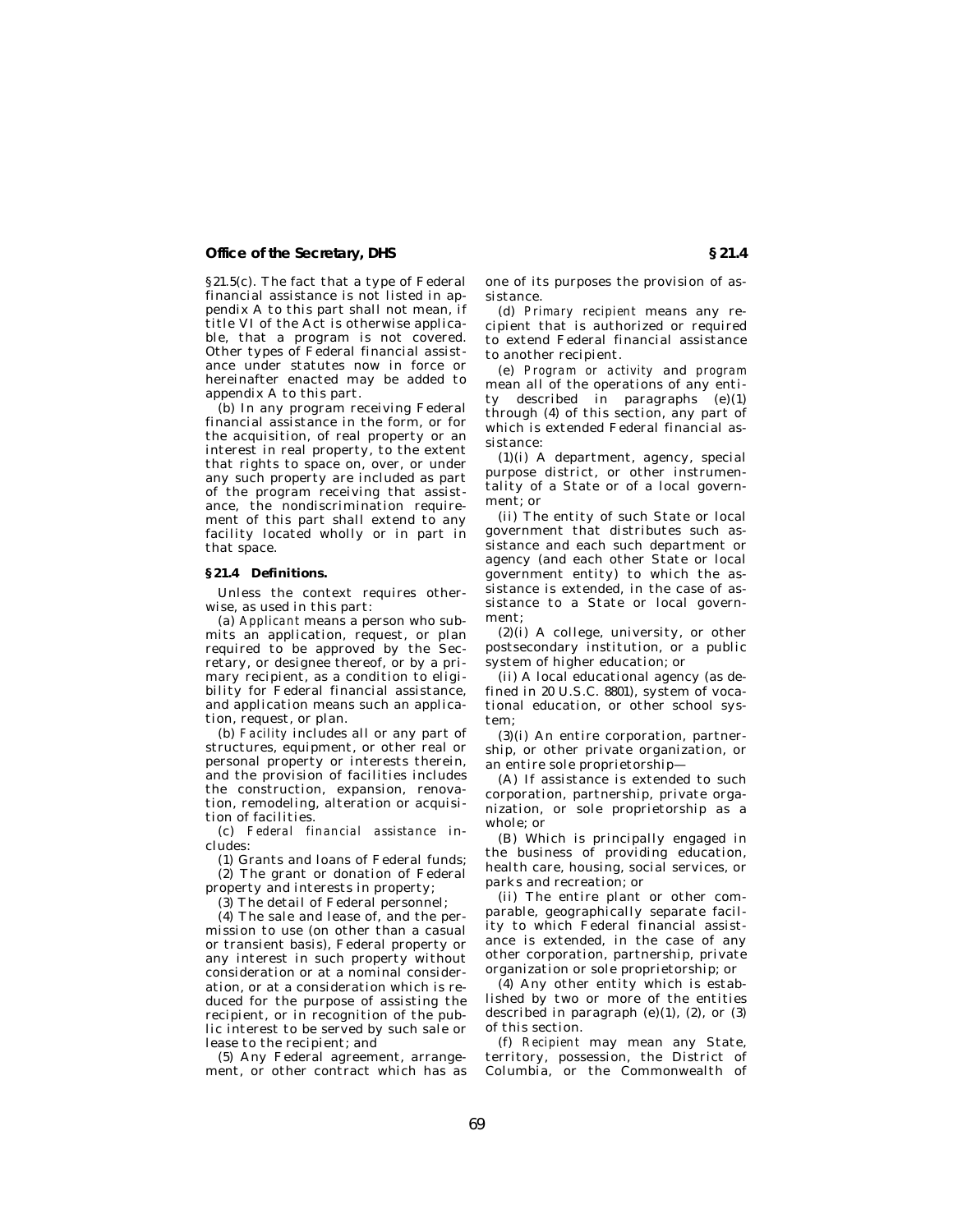§21.5(c). The fact that a type of Federal financial assistance is not listed in appendix A to this part shall not mean, if title VI of the Act is otherwise applicable, that a program is not covered. Other types of Federal financial assistance under statutes now in force or hereinafter enacted may be added to appendix A to this part.

(b) In any program receiving Federal financial assistance in the form, or for the acquisition, of real property or an interest in real property, to the extent that rights to space on, over, or under any such property are included as part of the program receiving that assistance, the nondiscrimination requirement of this part shall extend to any facility located wholly or in part in that space.

## **§ 21.4 Definitions.**

Unless the context requires otherwise, as used in this part:

(a) *Applicant* means a person who submits an application, request, or plan required to be approved by the Secretary, or designee thereof, or by a primary recipient, as a condition to eligibility for Federal financial assistance, and application means such an application, request, or plan.

(b) *Facility* includes all or any part of structures, equipment, or other real or personal property or interests therein, and the provision of facilities includes the construction, expansion, renovation, remodeling, alteration or acquisition of facilities.

(c) *Federal financial assistance* includes:

(1) Grants and loans of Federal funds; (2) The grant or donation of Federal property and interests in property;

(3) The detail of Federal personnel;

(4) The sale and lease of, and the permission to use (on other than a casual or transient basis), Federal property or any interest in such property without consideration or at a nominal consideration, or at a consideration which is reduced for the purpose of assisting the recipient, or in recognition of the public interest to be served by such sale or lease to the recipient; and

(5) Any Federal agreement, arrangement, or other contract which has as one of its purposes the provision of assistance.

(d) *Primary recipient* means any recipient that is authorized or required to extend Federal financial assistance to another recipient.

(e) *Program or activity* and *program* mean all of the operations of any entity described in paragraphs (e)(1) through (4) of this section, any part of which is extended Federal financial assistance:

(1)(i) A department, agency, special purpose district, or other instrumentality of a State or of a local government; or

(ii) The entity of such State or local government that distributes such assistance and each such department or agency (and each other State or local government entity) to which the assistance is extended, in the case of assistance to a State or local government;

(2)(i) A college, university, or other postsecondary institution, or a public system of higher education; or

(ii) A local educational agency (as defined in 20 U.S.C. 8801), system of vocational education, or other school system;

(3)(i) An entire corporation, partnership, or other private organization, or an entire sole proprietorship—

(A) If assistance is extended to such corporation, partnership, private organization, or sole proprietorship as a whole; or

(B) Which is principally engaged in the business of providing education, health care, housing, social services, or parks and recreation; or

(ii) The entire plant or other comparable, geographically separate facility to which Federal financial assistance is extended, in the case of any other corporation, partnership, private organization or sole proprietorship; or

(4) Any other entity which is established by two or more of the entities described in paragraph  $(e)(1)$ ,  $(2)$ , or  $(3)$ of this section.

(f) *Recipient* may mean any State, territory, possession, the District of Columbia, or the Commonwealth of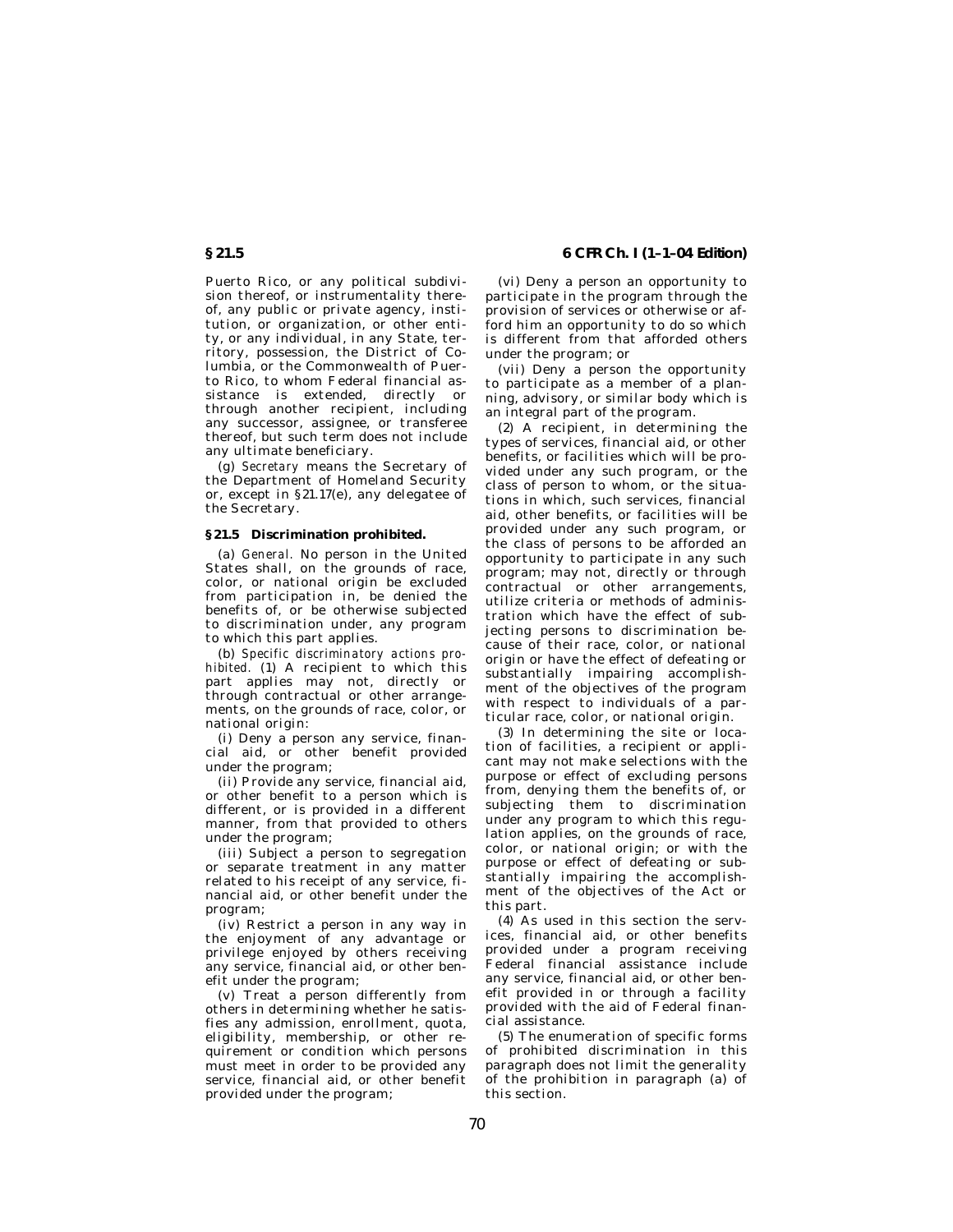# **§ 21.5 6 CFR Ch. I (1–1–04 Edition)**

Puerto Rico, or any political subdivision thereof, or instrumentality thereof, any public or private agency, institution, or organization, or other entity, or any individual, in any State, territory, possession, the District of Columbia, or the Commonwealth of Puerto Rico, to whom Federal financial assistance is extended, directly or through another recipient, including any successor, assignee, or transferee thereof, but such term does not include any ultimate beneficiary.

(g) *Secretary* means the Secretary of the Department of Homeland Security or, except in §21.17(e), any delegatee of the Secretary.

## **§ 21.5 Discrimination prohibited.**

(a) *General.* No person in the United States shall, on the grounds of race, color, or national origin be excluded from participation in, be denied the benefits of, or be otherwise subjected to discrimination under, any program to which this part applies.

(b) *Specific discriminatory actions prohibited.* (1) A recipient to which this part applies may not, directly or through contractual or other arrangements, on the grounds of race, color, or national origin:

(i) Deny a person any service, financial aid, or other benefit provided under the program;

(ii) Provide any service, financial aid, or other benefit to a person which is different, or is provided in a different manner, from that provided to others under the program;

(iii) Subject a person to segregation or separate treatment in any matter related to his receipt of any service, financial aid, or other benefit under the program;

(iv) Restrict a person in any way in the enjoyment of any advantage or privilege enjoyed by others receiving any service, financial aid, or other benefit under the program;

(v) Treat a person differently from others in determining whether he satisfies any admission, enrollment, quota, eligibility, membership, or other requirement or condition which persons must meet in order to be provided any service, financial aid, or other benefit provided under the program;

(vi) Deny a person an opportunity to participate in the program through the provision of services or otherwise or afford him an opportunity to do so which is different from that afforded others under the program; or

(vii) Deny a person the opportunity to participate as a member of a planning, advisory, or similar body which is an integral part of the program.

(2) A recipient, in determining the types of services, financial aid, or other benefits, or facilities which will be provided under any such program, or the class of person to whom, or the situations in which, such services, financial aid, other benefits, or facilities will be provided under any such program, or the class of persons to be afforded an opportunity to participate in any such program; may not, directly or through contractual or other arrangements, utilize criteria or methods of administration which have the effect of subjecting persons to discrimination because of their race, color, or national origin or have the effect of defeating or substantially impairing accomplishment of the objectives of the program with respect to individuals of a particular race, color, or national origin.

(3) In determining the site or location of facilities, a recipient or applicant may not make selections with the purpose or effect of excluding persons from, denying them the benefits of, or subjecting them to discrimination under any program to which this regulation applies, on the grounds of race, color, or national origin; or with the purpose or effect of defeating or substantially impairing the accomplishment of the objectives of the Act or this part.

(4) As used in this section the services, financial aid, or other benefits provided under a program receiving Federal financial assistance include any service, financial aid, or other benefit provided in or through a facility provided with the aid of Federal financial assistance.

(5) The enumeration of specific forms of prohibited discrimination in this paragraph does not limit the generality of the prohibition in paragraph (a) of this section.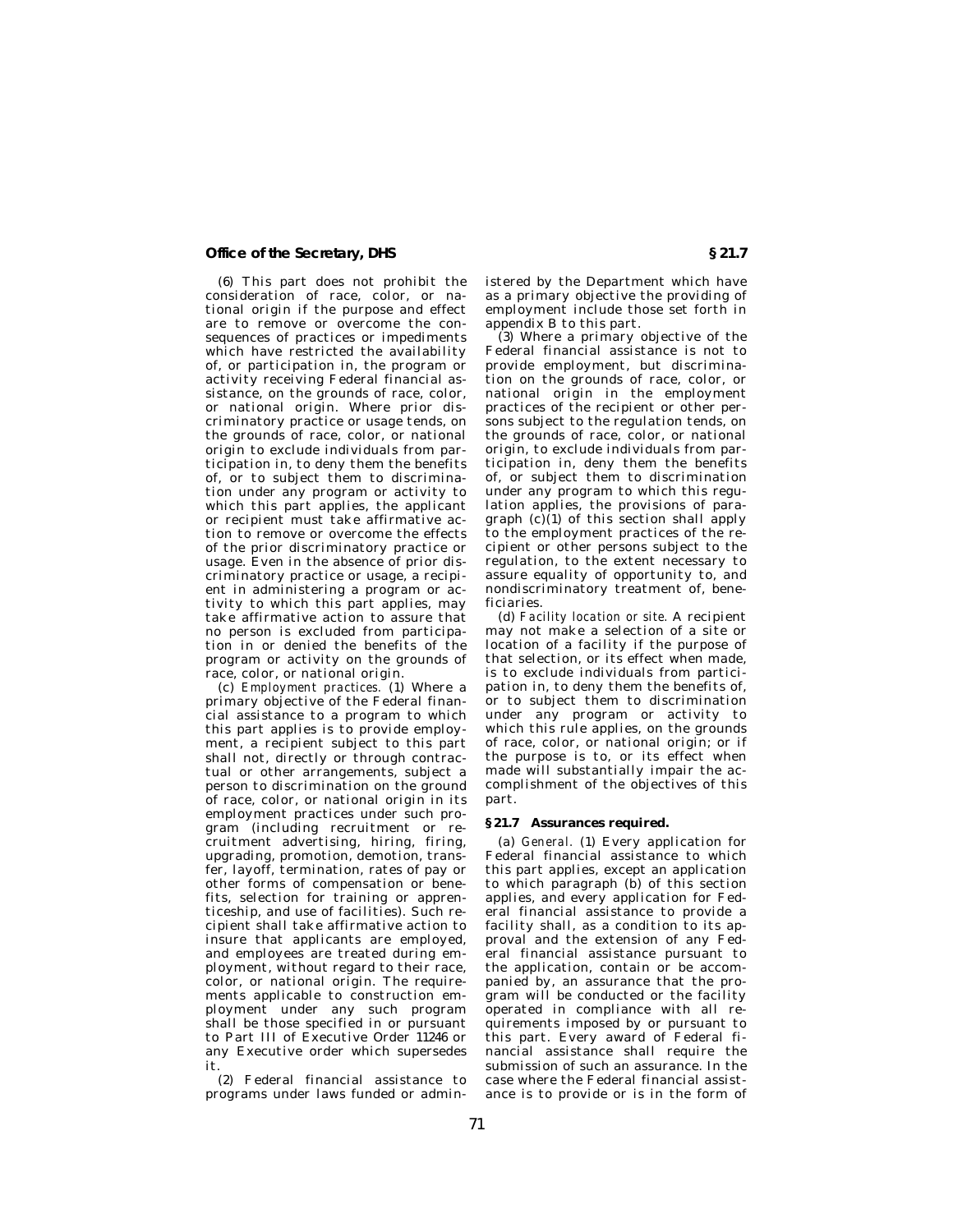(6) This part does not prohibit the consideration of race, color, or national origin if the purpose and effect are to remove or overcome the consequences of practices or impediments which have restricted the availability of, or participation in, the program or activity receiving Federal financial assistance, on the grounds of race, color, or national origin. Where prior discriminatory practice or usage tends, on the grounds of race, color, or national origin to exclude individuals from participation in, to deny them the benefits of, or to subject them to discrimination under any program or activity to which this part applies, the applicant or recipient must take affirmative action to remove or overcome the effects of the prior discriminatory practice or usage. Even in the absence of prior discriminatory practice or usage, a recipient in administering a program or activity to which this part applies, may take affirmative action to assure that no person is excluded from participation in or denied the benefits of the program or activity on the grounds of race, color, or national origin.

(c) *Employment practices.* (1) Where a primary objective of the Federal financial assistance to a program to which this part applies is to provide employment, a recipient subject to this part shall not, directly or through contractual or other arrangements, subject a person to discrimination on the ground of race, color, or national origin in its employment practices under such program (including recruitment or recruitment advertising, hiring, firing, upgrading, promotion, demotion, transfer, layoff, termination, rates of pay or other forms of compensation or benefits, selection for training or apprenticeship, and use of facilities). Such recipient shall take affirmative action to insure that applicants are employed, and employees are treated during employment, without regard to their race, color, or national origin. The requirements applicable to construction employment under any such program shall be those specified in or pursuant to Part III of Executive Order 11246 or any Executive order which supersedes it.

(2) Federal financial assistance to programs under laws funded or administered by the Department which have as a primary objective the providing of employment include those set forth in appendix B to this part.

(3) Where a primary objective of the Federal financial assistance is not to provide employment, but discrimination on the grounds of race, color, or national origin in the employment practices of the recipient or other persons subject to the regulation tends, on the grounds of race, color, or national origin, to exclude individuals from participation in, deny them the benefits of, or subject them to discrimination under any program to which this regulation applies, the provisions of paragraph  $(c)(1)$  of this section shall apply to the employment practices of the recipient or other persons subject to the regulation, to the extent necessary to assure equality of opportunity to, and nondiscriminatory treatment of, beneficiaries.

(d) *Facility location or site.* A recipient may not make a selection of a site or location of a facility if the purpose of that selection, or its effect when made, is to exclude individuals from participation in, to deny them the benefits of, or to subject them to discrimination under any program or activity to which this rule applies, on the grounds of race, color, or national origin; or if the purpose is to, or its effect when made will substantially impair the accomplishment of the objectives of this part.

### **§ 21.7 Assurances required.**

(a) *General.* (1) Every application for Federal financial assistance to which this part applies, except an application to which paragraph (b) of this section applies, and every application for Federal financial assistance to provide a facility shall, as a condition to its approval and the extension of any Federal financial assistance pursuant to the application, contain or be accompanied by, an assurance that the program will be conducted or the facility operated in compliance with all requirements imposed by or pursuant to this part. Every award of Federal financial assistance shall require the submission of such an assurance. In the case where the Federal financial assistance is to provide or is in the form of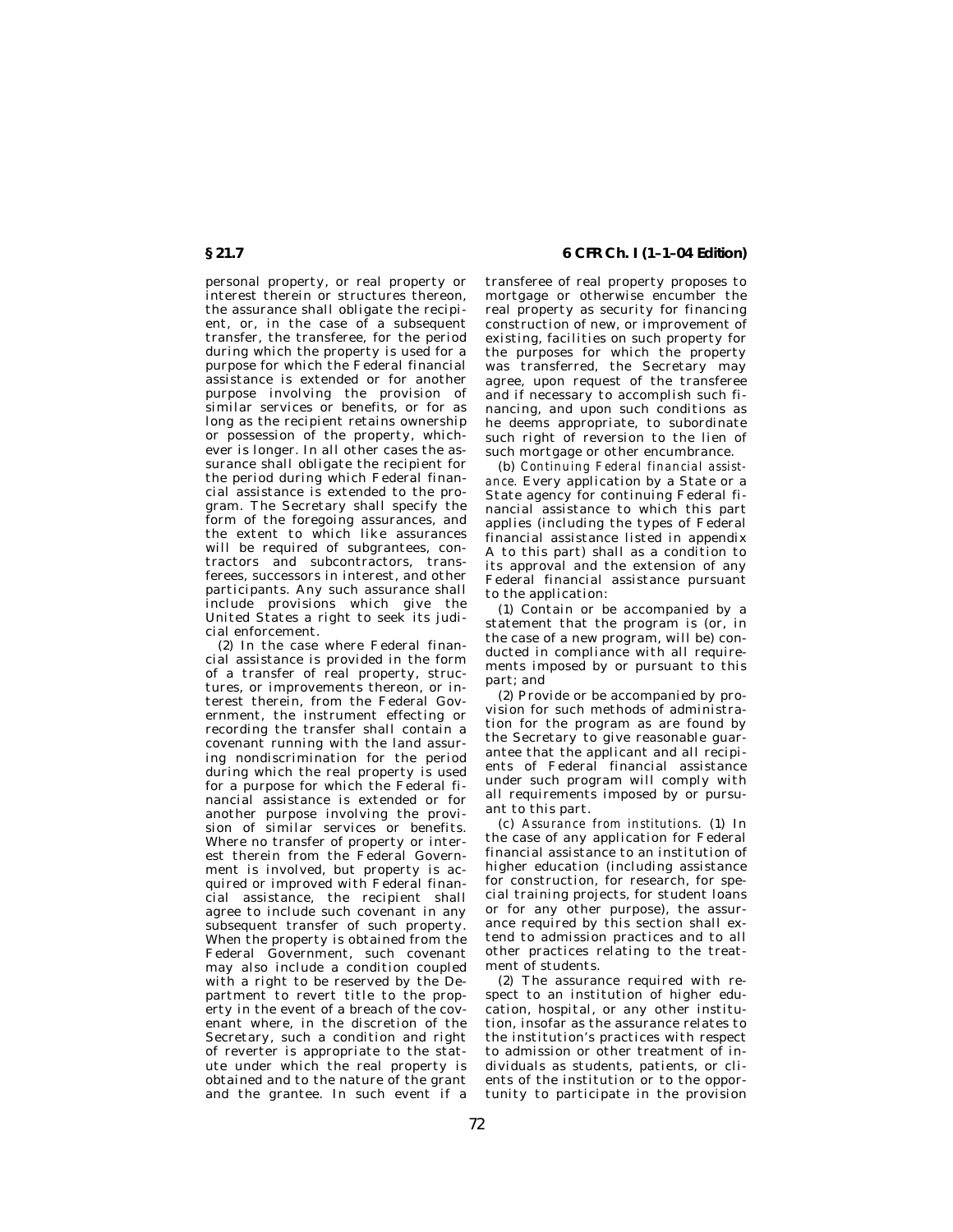personal property, or real property or interest therein or structures thereon, the assurance shall obligate the recipient, or, in the case of a subsequent transfer, the transferee, for the period during which the property is used for a purpose for which the Federal financial assistance is extended or for another purpose involving the provision of similar services or benefits, or for as long as the recipient retains ownership or possession of the property, whichever is longer. In all other cases the assurance shall obligate the recipient for the period during which Federal financial assistance is extended to the program. The Secretary shall specify the form of the foregoing assurances, and the extent to which like assurances will be required of subgrantees, contractors and subcontractors, transferees, successors in interest, and other participants. Any such assurance shall include provisions which give the United States a right to seek its judicial enforcement.

(2) In the case where Federal financial assistance is provided in the form of a transfer of real property, structures, or improvements thereon, or interest therein, from the Federal Government, the instrument effecting or recording the transfer shall contain a covenant running with the land assuring nondiscrimination for the period during which the real property is used for a purpose for which the Federal financial assistance is extended or for another purpose involving the provision of similar services or benefits. Where no transfer of property or interest therein from the Federal Government is involved, but property is acquired or improved with Federal financial assistance, the recipient shall agree to include such covenant in any subsequent transfer of such property. When the property is obtained from the Federal Government, such covenant may also include a condition coupled with a right to be reserved by the Department to revert title to the property in the event of a breach of the covenant where, in the discretion of the Secretary, such a condition and right of reverter is appropriate to the statute under which the real property is obtained and to the nature of the grant and the grantee. In such event if a

**§ 21.7 6 CFR Ch. I (1–1–04 Edition)**

transferee of real property proposes to mortgage or otherwise encumber the real property as security for financing construction of new, or improvement of existing, facilities on such property for the purposes for which the property was transferred, the Secretary may agree, upon request of the transferee and if necessary to accomplish such financing, and upon such conditions as he deems appropriate, to subordinate such right of reversion to the lien of such mortgage or other encumbrance.

(b) *Continuing Federal financial assistance.* Every application by a State or a State agency for continuing Federal financial assistance to which this part applies (including the types of Federal financial assistance listed in appendix A to this part) shall as a condition to its approval and the extension of any Federal financial assistance pursuant to the application:

(1) Contain or be accompanied by a statement that the program is (or, in the case of a new program, will be) conducted in compliance with all requirements imposed by or pursuant to this part; and

(2) Provide or be accompanied by provision for such methods of administration for the program as are found by the Secretary to give reasonable guarantee that the applicant and all recipients of Federal financial assistance under such program will comply with all requirements imposed by or pursuant to this part.

(c) *Assurance from institutions.* (1) In the case of any application for Federal financial assistance to an institution of higher education (including assistance for construction, for research, for special training projects, for student loans or for any other purpose), the assurance required by this section shall extend to admission practices and to all other practices relating to the treatment of students.

(2) The assurance required with respect to an institution of higher education, hospital, or any other institution, insofar as the assurance relates to the institution's practices with respect to admission or other treatment of individuals as students, patients, or clients of the institution or to the opportunity to participate in the provision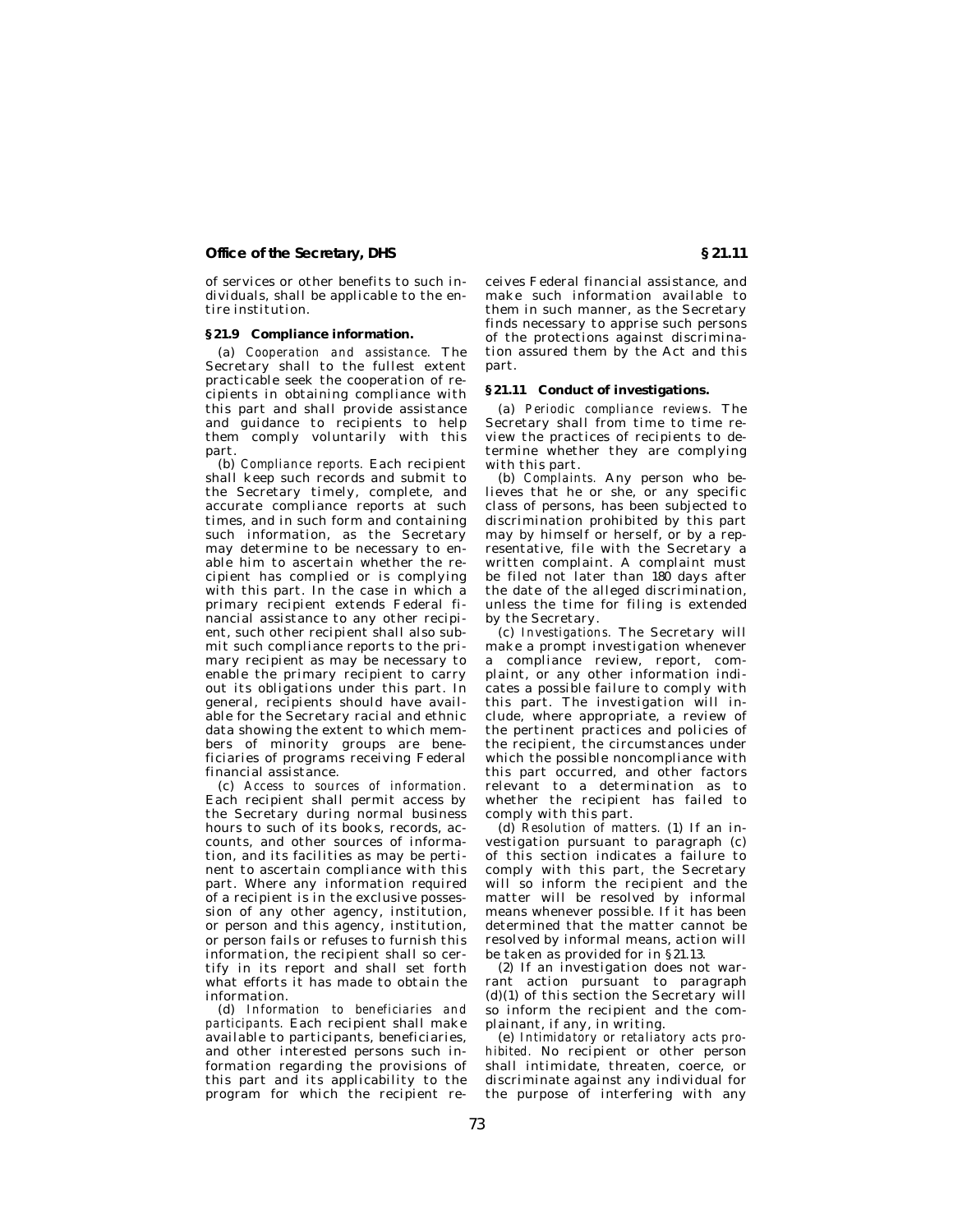of services or other benefits to such individuals, shall be applicable to the entire institution.

# **§ 21.9 Compliance information.**

(a) *Cooperation and assistance.* The Secretary shall to the fullest extent practicable seek the cooperation of recipients in obtaining compliance with this part and shall provide assistance and guidance to recipients to help them comply voluntarily with this part.

(b) *Compliance reports.* Each recipient shall keep such records and submit to the Secretary timely, complete, and accurate compliance reports at such times, and in such form and containing such information, as the Secretary may determine to be necessary to enable him to ascertain whether the recipient has complied or is complying with this part. In the case in which a primary recipient extends Federal financial assistance to any other recipient, such other recipient shall also submit such compliance reports to the primary recipient as may be necessary to enable the primary recipient to carry out its obligations under this part. In general, recipients should have available for the Secretary racial and ethnic data showing the extent to which members of minority groups are beneficiaries of programs receiving Federal financial assistance.

(c) *Access to sources of information.* Each recipient shall permit access by the Secretary during normal business hours to such of its books, records, accounts, and other sources of information, and its facilities as may be pertinent to ascertain compliance with this part. Where any information required of a recipient is in the exclusive possession of any other agency, institution, or person and this agency, institution, or person fails or refuses to furnish this information, the recipient shall so certify in its report and shall set forth what efforts it has made to obtain the information.

(d) *Information to beneficiaries and participants.* Each recipient shall make available to participants, beneficiaries, and other interested persons such information regarding the provisions of this part and its applicability to the program for which the recipient receives Federal financial assistance, and make such information available to them in such manner, as the Secretary finds necessary to apprise such persons of the protections against discrimination assured them by the Act and this part.

# **§ 21.11 Conduct of investigations.**

(a) *Periodic compliance reviews.* The Secretary shall from time to time review the practices of recipients to determine whether they are complying with this part.

(b) *Complaints.* Any person who believes that he or she, or any specific class of persons, has been subjected to discrimination prohibited by this part may by himself or herself, or by a representative, file with the Secretary a written complaint. A complaint must be filed not later than 180 days after the date of the alleged discrimination, unless the time for filing is extended by the Secretary.

(c) *Investigations.* The Secretary will make a prompt investigation whenever a compliance review, report, complaint, or any other information indicates a possible failure to comply with this part. The investigation will include, where appropriate, a review of the pertinent practices and policies of the recipient, the circumstances under which the possible noncompliance with this part occurred, and other factors relevant to a determination as to whether the recipient has failed to comply with this part.

(d) *Resolution of matters.* (1) If an investigation pursuant to paragraph (c) of this section indicates a failure to comply with this part, the Secretary will so inform the recipient and the matter will be resolved by informal means whenever possible. If it has been determined that the matter cannot be resolved by informal means, action will be taken as provided for in §21.13.

(2) If an investigation does not warrant action pursuant to paragraph (d)(1) of this section the Secretary will so inform the recipient and the complainant, if any, in writing.

(e) *Intimidatory or retaliatory acts prohibited.* No recipient or other person shall intimidate, threaten, coerce, or discriminate against any individual for the purpose of interfering with any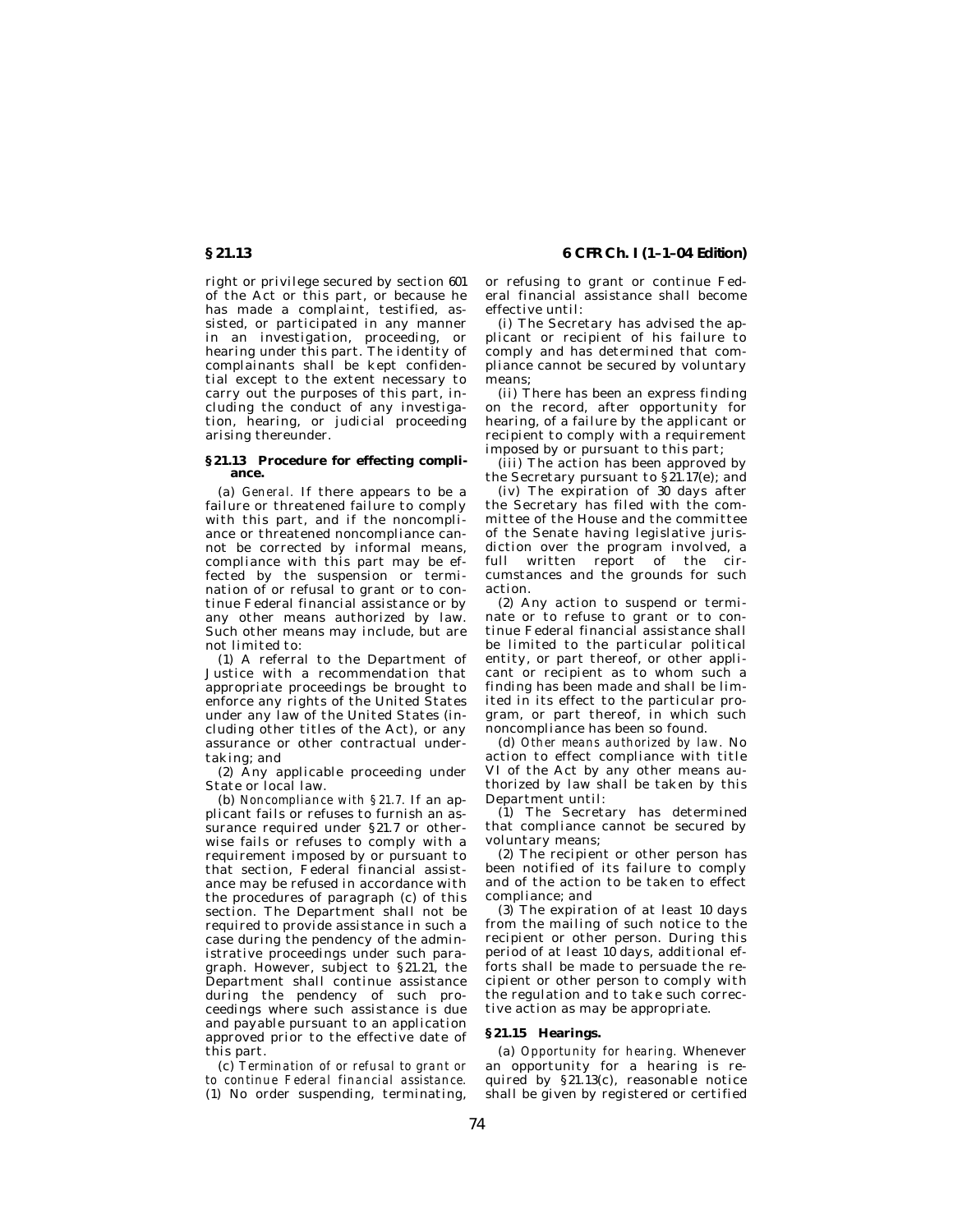# **§ 21.13 6 CFR Ch. I (1–1–04 Edition)**

right or privilege secured by section 601 of the Act or this part, or because he has made a complaint, testified, assisted, or participated in any manner in an investigation, proceeding, or hearing under this part. The identity of complainants shall be kept confidential except to the extent necessary to carry out the purposes of this part, including the conduct of any investigation, hearing, or judicial proceeding arising thereunder.

## **§ 21.13 Procedure for effecting compliance.**

(a) *General.* If there appears to be a failure or threatened failure to comply with this part, and if the noncompliance or threatened noncompliance cannot be corrected by informal means, compliance with this part may be effected by the suspension or termination of or refusal to grant or to continue Federal financial assistance or by any other means authorized by law. Such other means may include, but are not limited to:

(1) A referral to the Department of Justice with a recommendation that appropriate proceedings be brought to enforce any rights of the United States under any law of the United States (including other titles of the Act), or any assurance or other contractual undertaking; and

(2) Any applicable proceeding under State or local law.

(b) *Noncompliance with §21.7.* If an applicant fails or refuses to furnish an assurance required under §21.7 or otherwise fails or refuses to comply with a requirement imposed by or pursuant to that section, Federal financial assistance may be refused in accordance with the procedures of paragraph (c) of this section. The Department shall not be required to provide assistance in such a case during the pendency of the administrative proceedings under such paragraph. However, subject to §21.21, the Department shall continue assistance during the pendency of such proceedings where such assistance is due and payable pursuant to an application approved prior to the effective date of this part.

(c) *Termination of or refusal to grant or to continue Federal financial assistance.* (1) No order suspending, terminating, or refusing to grant or continue Federal financial assistance shall become effective until:

(i) The Secretary has advised the applicant or recipient of his failure to comply and has determined that compliance cannot be secured by voluntary means;

(ii) There has been an express finding on the record, after opportunity for hearing, of a failure by the applicant or recipient to comply with a requirement imposed by or pursuant to this part;

(iii) The action has been approved by the Secretary pursuant to §21.17(e); and

(iv) The expiration of 30 days after the Secretary has filed with the committee of the House and the committee of the Senate having legislative jurisdiction over the program involved, a full written report of the circumstances and the grounds for such action.

(2) Any action to suspend or terminate or to refuse to grant or to continue Federal financial assistance shall be limited to the particular political entity, or part thereof, or other applicant or recipient as to whom such a finding has been made and shall be limited in its effect to the particular program, or part thereof, in which such noncompliance has been so found.

(d) *Other means authorized by law.* No action to effect compliance with title VI of the Act by any other means authorized by law shall be taken by this Department until:

(1) The Secretary has determined that compliance cannot be secured by voluntary means;

(2) The recipient or other person has been notified of its failure to comply and of the action to be taken to effect compliance; and

(3) The expiration of at least 10 days from the mailing of such notice to the recipient or other person. During this period of at least 10 days, additional efforts shall be made to persuade the recipient or other person to comply with the regulation and to take such corrective action as may be appropriate.

# **§ 21.15 Hearings.**

(a) *Opportunity for hearing.* Whenever an opportunity for a hearing is required by §21.13(c), reasonable notice shall be given by registered or certified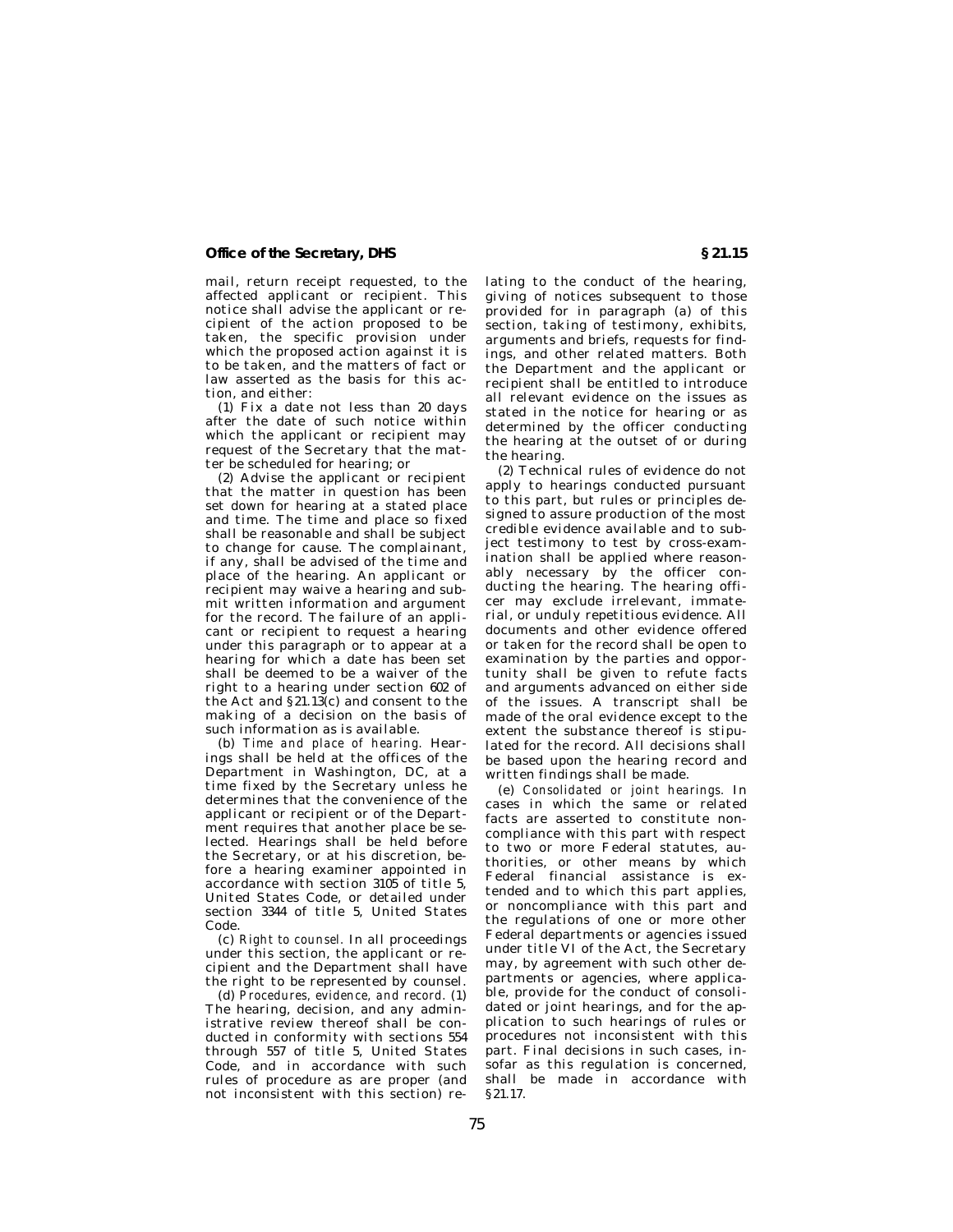mail, return receipt requested, to the affected applicant or recipient. This notice shall advise the applicant or recipient of the action proposed to be taken, the specific provision under which the proposed action against it is to be taken, and the matters of fact or law asserted as the basis for this action, and either:

(1) Fix a date not less than 20 days after the date of such notice within which the applicant or recipient may request of the Secretary that the matter be scheduled for hearing; or

(2) Advise the applicant or recipient that the matter in question has been set down for hearing at a stated place and time. The time and place so fixed shall be reasonable and shall be subject to change for cause. The complainant, if any, shall be advised of the time and place of the hearing. An applicant or recipient may waive a hearing and submit written information and argument for the record. The failure of an applicant or recipient to request a hearing under this paragraph or to appear at a hearing for which a date has been set shall be deemed to be a waiver of the right to a hearing under section 602 of the Act and  $$21.13(c)$  and consent to the making of a decision on the basis of such information as is available.

(b) *Time and place of hearing.* Hearings shall be held at the offices of the Department in Washington, DC, at a time fixed by the Secretary unless he determines that the convenience of the applicant or recipient or of the Department requires that another place be selected. Hearings shall be held before the Secretary, or at his discretion, before a hearing examiner appointed in accordance with section 3105 of title 5, United States Code, or detailed under section 3344 of title 5, United States Code.

(c) *Right to counsel.* In all proceedings under this section, the applicant or recipient and the Department shall have the right to be represented by counsel.

(d) *Procedures, evidence, and record.* (1) The hearing, decision, and any administrative review thereof shall be conducted in conformity with sections 554 through 557 of title 5, United States Code, and in accordance with such rules of procedure as are proper (and not inconsistent with this section) relating to the conduct of the hearing, giving of notices subsequent to those provided for in paragraph (a) of this section, taking of testimony, exhibits, arguments and briefs, requests for findings, and other related matters. Both the Department and the applicant or recipient shall be entitled to introduce all relevant evidence on the issues as stated in the notice for hearing or as determined by the officer conducting the hearing at the outset of or during the hearing.

(2) Technical rules of evidence do not apply to hearings conducted pursuant to this part, but rules or principles designed to assure production of the most credible evidence available and to subject testimony to test by cross-examination shall be applied where reasonably necessary by the officer conducting the hearing. The hearing officer may exclude irrelevant, immaterial, or unduly repetitious evidence. All documents and other evidence offered or taken for the record shall be open to examination by the parties and opportunity shall be given to refute facts and arguments advanced on either side of the issues. A transcript shall be made of the oral evidence except to the extent the substance thereof is stipulated for the record. All decisions shall be based upon the hearing record and written findings shall be made.

(e) *Consolidated or joint hearings.* In cases in which the same or related facts are asserted to constitute noncompliance with this part with respect to two or more Federal statutes, authorities, or other means by which Federal financial assistance is extended and to which this part applies, or noncompliance with this part and the regulations of one or more other Federal departments or agencies issued under title VI of the Act, the Secretary may, by agreement with such other departments or agencies, where applicable, provide for the conduct of consolidated or joint hearings, and for the application to such hearings of rules or procedures not inconsistent with this part. Final decisions in such cases, insofar as this regulation is concerned, shall be made in accordance with §21.17.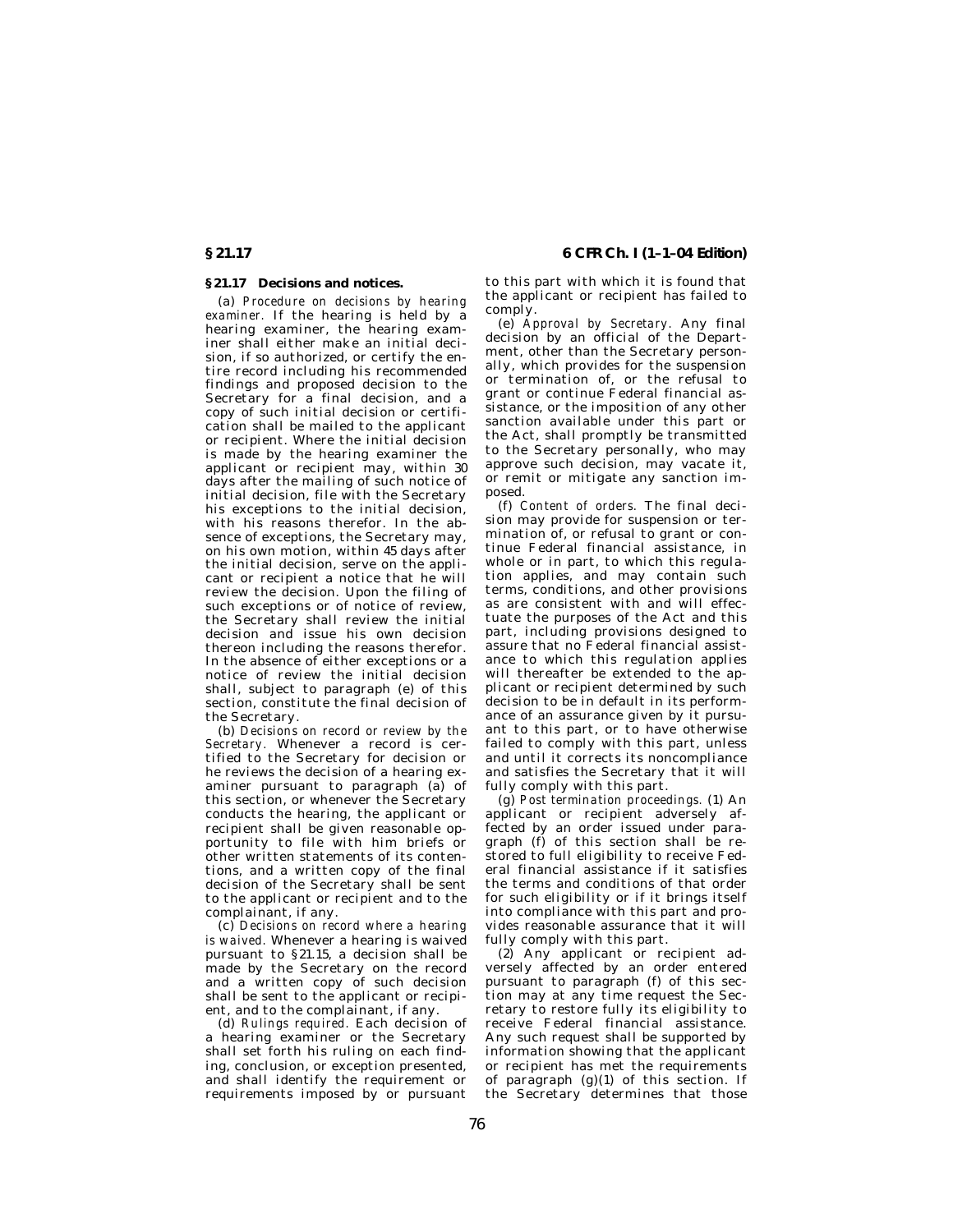# **§ 21.17 Decisions and notices.**

(a) *Procedure on decisions by hearing examiner.* If the hearing is held by a hearing examiner, the hearing examiner shall either make an initial decision, if so authorized, or certify the entire record including his recommended findings and proposed decision to the Secretary for a final decision, and a copy of such initial decision or certification shall be mailed to the applicant or recipient. Where the initial decision is made by the hearing examiner the applicant or recipient may, within 30 days after the mailing of such notice of initial decision, file with the Secretary his exceptions to the initial decision, with his reasons therefor. In the absence of exceptions, the Secretary may, on his own motion, within 45 days after the initial decision, serve on the applicant or recipient a notice that he will review the decision. Upon the filing of such exceptions or of notice of review, the Secretary shall review the initial decision and issue his own decision thereon including the reasons therefor. In the absence of either exceptions or a notice of review the initial decision shall, subject to paragraph (e) of this section, constitute the final decision of the Secretary.

(b) *Decisions on record or review by the Secretary.* Whenever a record is certified to the Secretary for decision or he reviews the decision of a hearing examiner pursuant to paragraph (a) of this section, or whenever the Secretary conducts the hearing, the applicant or recipient shall be given reasonable opportunity to file with him briefs or other written statements of its contentions, and a written copy of the final decision of the Secretary shall be sent to the applicant or recipient and to the complainant, if any.

(c) *Decisions on record where a hearing is waived.* Whenever a hearing is waived pursuant to §21.15, a decision shall be made by the Secretary on the record and a written copy of such decision shall be sent to the applicant or recipient, and to the complainant, if any.

(d) *Rulings required.* Each decision of a hearing examiner or the Secretary shall set forth his ruling on each finding, conclusion, or exception presented, and shall identify the requirement or requirements imposed by or pursuant

**§ 21.17 6 CFR Ch. I (1–1–04 Edition)**

to this part with which it is found that the applicant or recipient has failed to comply.

(e) *Approval by Secretary.* Any final decision by an official of the Department, other than the Secretary personally, which provides for the suspension or termination of, or the refusal to grant or continue Federal financial assistance, or the imposition of any other sanction available under this part or the Act, shall promptly be transmitted to the Secretary personally, who may approve such decision, may vacate it, or remit or mitigate any sanction imposed.

(f) *Content of orders.* The final decision may provide for suspension or termination of, or refusal to grant or continue Federal financial assistance, in whole or in part, to which this regulation applies, and may contain such terms, conditions, and other provisions as are consistent with and will effectuate the purposes of the Act and this part, including provisions designed to assure that no Federal financial assistance to which this regulation applies will thereafter be extended to the applicant or recipient determined by such decision to be in default in its performance of an assurance given by it pursuant to this part, or to have otherwise failed to comply with this part, unless and until it corrects its noncompliance and satisfies the Secretary that it will fully comply with this part.

(g) *Post termination proceedings.* (1) An applicant or recipient adversely affected by an order issued under paragraph (f) of this section shall be restored to full eligibility to receive Federal financial assistance if it satisfies the terms and conditions of that order for such eligibility or if it brings itself into compliance with this part and provides reasonable assurance that it will fully comply with this part.

(2) Any applicant or recipient adversely affected by an order entered pursuant to paragraph (f) of this section may at any time request the Secretary to restore fully its eligibility to receive Federal financial assistance. Any such request shall be supported by information showing that the applicant or recipient has met the requirements of paragraph  $(g)(1)$  of this section. If the Secretary determines that those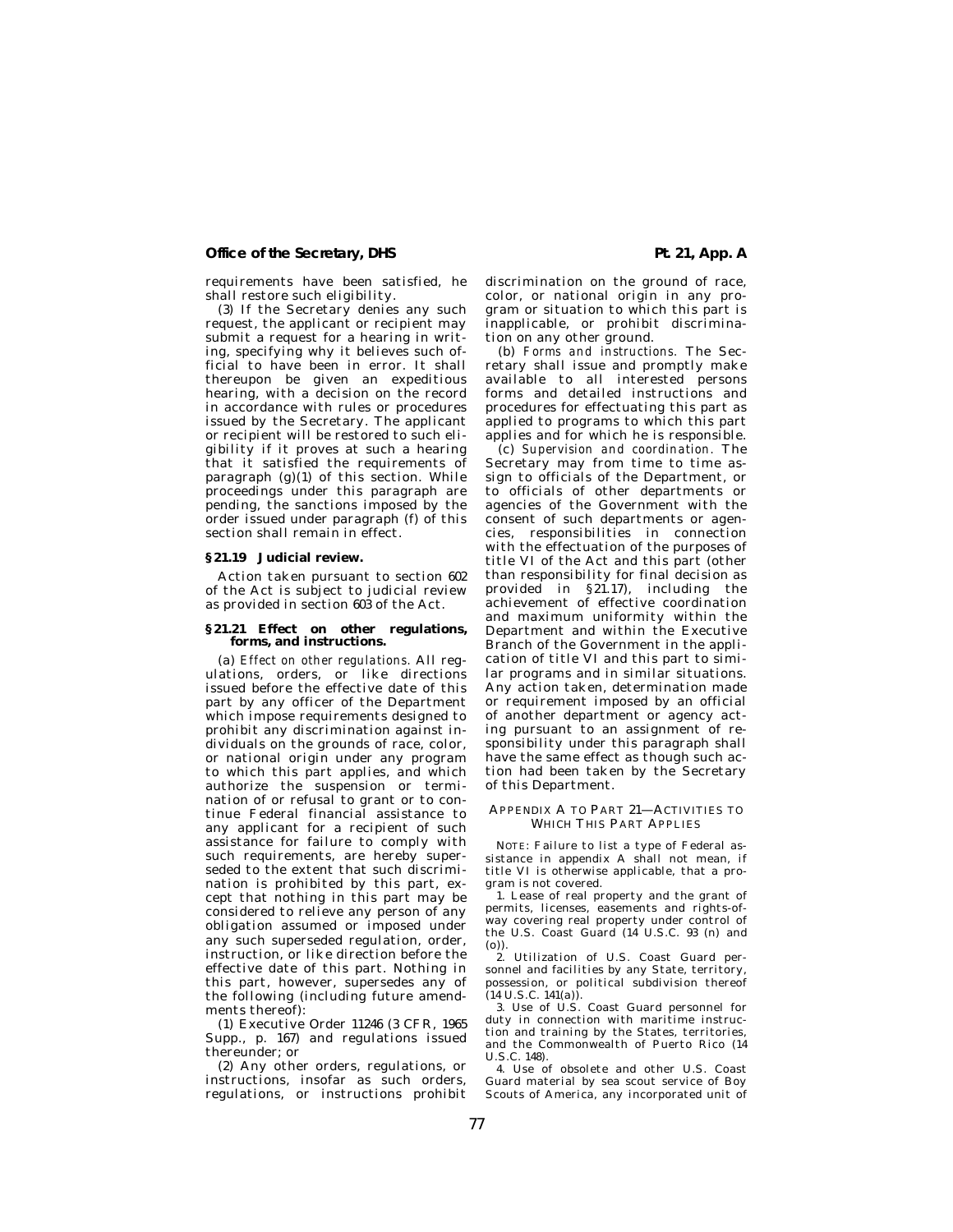## **Office of the Secretary, DHS Pt. 21, App. A**

requirements have been satisfied, he shall restore such eligibility.

(3) If the Secretary denies any such request, the applicant or recipient may submit a request for a hearing in writing, specifying why it believes such official to have been in error. It shall thereupon be given an expeditious hearing, with a decision on the record in accordance with rules or procedures issued by the Secretary. The applicant or recipient will be restored to such eligibility if it proves at such a hearing that it satisfied the requirements of paragraph  $(g)(1)$  of this section. While proceedings under this paragraph are pending, the sanctions imposed by the order issued under paragraph (f) of this section shall remain in effect.

#### **§ 21.19 Judicial review.**

Action taken pursuant to section 602 of the Act is subject to judicial review as provided in section 603 of the Act.

## **§ 21.21 Effect on other regulations, forms, and instructions.**

(a) *Effect on other regulations.* All regulations, orders, or like directions issued before the effective date of this part by any officer of the Department which impose requirements designed to prohibit any discrimination against individuals on the grounds of race, color, or national origin under any program to which this part applies, and which authorize the suspension or termination of or refusal to grant or to continue Federal financial assistance to any applicant for a recipient of such assistance for failure to comply with such requirements, are hereby superseded to the extent that such discrimination is prohibited by this part, except that nothing in this part may be considered to relieve any person of any obligation assumed or imposed under any such superseded regulation, order, instruction, or like direction before the effective date of this part. Nothing in this part, however, supersedes any of the following (including future amendments thereof):

(1) Executive Order 11246 (3 CFR, 1965 Supp., p. 167) and regulations issued thereunder; or

(2) Any other orders, regulations, or instructions, insofar as such orders, regulations, or instructions prohibit discrimination on the ground of race, color, or national origin in any program or situation to which this part is inapplicable, or prohibit discrimination on any other ground.

(b) *Forms and instructions.* The Secretary shall issue and promptly make available to all interested persons forms and detailed instructions and procedures for effectuating this part as applied to programs to which this part applies and for which he is responsible.

(c) *Supervision and coordination.* The Secretary may from time to time assign to officials of the Department, or to officials of other departments or agencies of the Government with the consent of such departments or agencies, responsibilities in connection with the effectuation of the purposes of title VI of the Act and this part (other than responsibility for final decision as provided in §21.17), including the achievement of effective coordination and maximum uniformity within the Department and within the Executive Branch of the Government in the application of title VI and this part to similar programs and in similar situations. Any action taken, determination made or requirement imposed by an official of another department or agency acting pursuant to an assignment of responsibility under this paragraph shall have the same effect as though such action had been taken by the Secretary of this Department.

### APPENDIX A TO PART 21—ACTIVITIES TO WHICH THIS PART APPLIES

NOTE: Failure to list a type of Federal assistance in appendix A shall not mean, if title VI is otherwise applicable, that a program is not covered.

1. Lease of real property and the grant of permits, licenses, easements and rights-ofway covering real property under control of the U.S. Coast Guard (14 U.S.C. 93 (n) and

(o)). 2. Utilization of U.S. Coast Guard personnel and facilities by any State, territory, possession, or political subdivision thereof (14 U.S.C. 141(a)).

3. Use of U.S. Coast Guard personnel for duty in connection with maritime instruction and training by the States, territories, and the Commonwealth of Puerto Rico (14 U.S.C. 148).

4. Use of obsolete and other U.S. Coast Guard material by sea scout service of Boy Scouts of America, any incorporated unit of